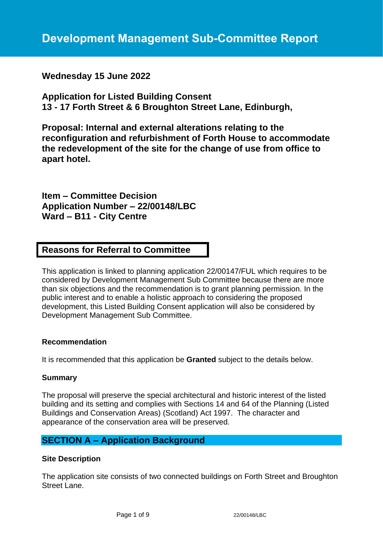**Wednesday 15 June 2022**

**Application for Listed Building Consent 13 - 17 Forth Street & 6 Broughton Street Lane, Edinburgh,** 

**Proposal: Internal and external alterations relating to the reconfiguration and refurbishment of Forth House to accommodate the redevelopment of the site for the change of use from office to apart hotel.**

**Item – Committee Decision Application Number – 22/00148/LBC Ward – B11 - City Centre**

# **Reasons for Referral to Committee**

This application is linked to planning application 22/00147/FUL which requires to be considered by Development Management Sub Committee because there are more than six objections and the recommendation is to grant planning permission. In the public interest and to enable a holistic approach to considering the proposed development, this Listed Building Consent application will also be considered by Development Management Sub Committee.

# **Recommendation**

It is recommended that this application be **Granted** subject to the details below.

# **Summary**

The proposal will preserve the special architectural and historic interest of the listed building and its setting and complies with Sections 14 and 64 of the Planning (Listed Buildings and Conservation Areas) (Scotland) Act 1997. The character and appearance of the conservation area will be preserved.

# **SECTION A – Application Background**

# **Site Description**

The application site consists of two connected buildings on Forth Street and Broughton Street Lane.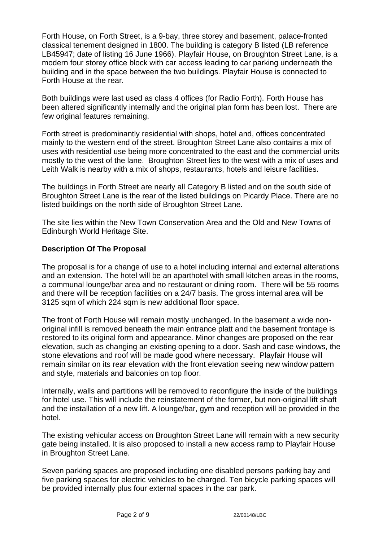Forth House, on Forth Street, is a 9-bay, three storey and basement, palace-fronted classical tenement designed in 1800. The building is category B listed (LB reference LB45947; date of listing 16 June 1966). Playfair House, on Broughton Street Lane, is a modern four storey office block with car access leading to car parking underneath the building and in the space between the two buildings. Playfair House is connected to Forth House at the rear.

Both buildings were last used as class 4 offices (for Radio Forth). Forth House has been altered significantly internally and the original plan form has been lost. There are few original features remaining.

Forth street is predominantly residential with shops, hotel and, offices concentrated mainly to the western end of the street. Broughton Street Lane also contains a mix of uses with residential use being more concentrated to the east and the commercial units mostly to the west of the lane. Broughton Street lies to the west with a mix of uses and Leith Walk is nearby with a mix of shops, restaurants, hotels and leisure facilities.

The buildings in Forth Street are nearly all Category B listed and on the south side of Broughton Street Lane is the rear of the listed buildings on Picardy Place. There are no listed buildings on the north side of Broughton Street Lane.

The site lies within the New Town Conservation Area and the Old and New Towns of Edinburgh World Heritage Site.

# **Description Of The Proposal**

The proposal is for a change of use to a hotel including internal and external alterations and an extension. The hotel will be an aparthotel with small kitchen areas in the rooms, a communal lounge/bar area and no restaurant or dining room. There will be 55 rooms and there will be reception facilities on a 24/7 basis. The gross internal area will be 3125 sqm of which 224 sqm is new additional floor space.

The front of Forth House will remain mostly unchanged. In the basement a wide nonoriginal infill is removed beneath the main entrance platt and the basement frontage is restored to its original form and appearance. Minor changes are proposed on the rear elevation, such as changing an existing opening to a door. Sash and case windows, the stone elevations and roof will be made good where necessary. Playfair House will remain similar on its rear elevation with the front elevation seeing new window pattern and style, materials and balconies on top floor.

Internally, walls and partitions will be removed to reconfigure the inside of the buildings for hotel use. This will include the reinstatement of the former, but non-original lift shaft and the installation of a new lift. A lounge/bar, gym and reception will be provided in the hotel.

The existing vehicular access on Broughton Street Lane will remain with a new security gate being installed. It is also proposed to install a new access ramp to Playfair House in Broughton Street Lane.

Seven parking spaces are proposed including one disabled persons parking bay and five parking spaces for electric vehicles to be charged. Ten bicycle parking spaces will be provided internally plus four external spaces in the car park.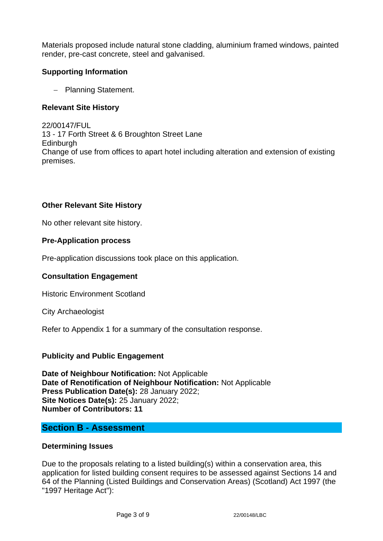Materials proposed include natural stone cladding, aluminium framed windows, painted render, pre-cast concrete, steel and galvanised.

# **Supporting Information**

− Planning Statement.

# **Relevant Site History**

22/00147/FUL 13 - 17 Forth Street & 6 Broughton Street Lane Edinburgh Change of use from offices to apart hotel including alteration and extension of existing premises.

# **Other Relevant Site History**

No other relevant site history.

# **Pre-Application process**

Pre-application discussions took place on this application.

# **Consultation Engagement**

Historic Environment Scotland

City Archaeologist

Refer to Appendix 1 for a summary of the consultation response.

# **Publicity and Public Engagement**

**Date of Neighbour Notification:** Not Applicable **Date of Renotification of Neighbour Notification:** Not Applicable **Press Publication Date(s):** 28 January 2022; **Site Notices Date(s):** 25 January 2022; **Number of Contributors: 11**

# **Section B - Assessment**

#### **Determining Issues**

Due to the proposals relating to a listed building(s) within a conservation area, this application for listed building consent requires to be assessed against Sections 14 and 64 of the Planning (Listed Buildings and Conservation Areas) (Scotland) Act 1997 (the "1997 Heritage Act"):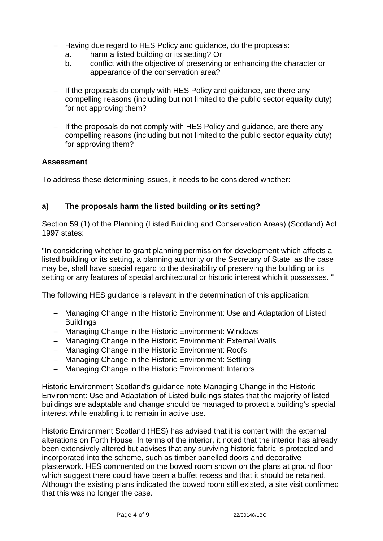- − Having due regard to HES Policy and guidance, do the proposals:
	- a. harm a listed building or its setting? Or
	- b. conflict with the objective of preserving or enhancing the character or appearance of the conservation area?
- − If the proposals do comply with HES Policy and guidance, are there any compelling reasons (including but not limited to the public sector equality duty) for not approving them?
- − If the proposals do not comply with HES Policy and guidance, are there any compelling reasons (including but not limited to the public sector equality duty) for approving them?

# **Assessment**

To address these determining issues, it needs to be considered whether:

# **a) The proposals harm the listed building or its setting?**

Section 59 (1) of the Planning (Listed Building and Conservation Areas) (Scotland) Act 1997 states:

"In considering whether to grant planning permission for development which affects a listed building or its setting, a planning authority or the Secretary of State, as the case may be, shall have special regard to the desirability of preserving the building or its setting or any features of special architectural or historic interest which it possesses. "

The following HES guidance is relevant in the determination of this application:

- − Managing Change in the Historic Environment: Use and Adaptation of Listed **Buildings**
- − Managing Change in the Historic Environment: Windows
- − Managing Change in the Historic Environment: External Walls
- − Managing Change in the Historic Environment: Roofs
- − Managing Change in the Historic Environment: Setting
- − Managing Change in the Historic Environment: Interiors

Historic Environment Scotland's guidance note Managing Change in the Historic Environment: Use and Adaptation of Listed buildings states that the majority of listed buildings are adaptable and change should be managed to protect a building's special interest while enabling it to remain in active use.

Historic Environment Scotland (HES) has advised that it is content with the external alterations on Forth House. In terms of the interior, it noted that the interior has already been extensively altered but advises that any surviving historic fabric is protected and incorporated into the scheme, such as timber panelled doors and decorative plasterwork. HES commented on the bowed room shown on the plans at ground floor which suggest there could have been a buffet recess and that it should be retained. Although the existing plans indicated the bowed room still existed, a site visit confirmed that this was no longer the case.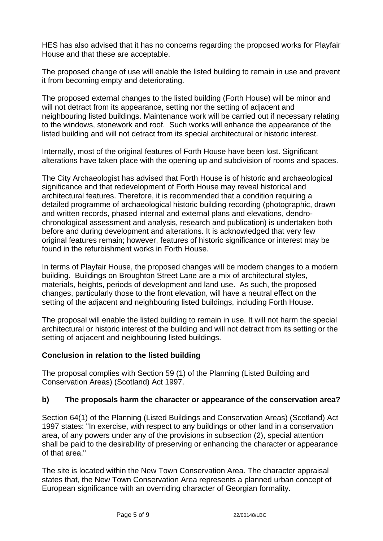HES has also advised that it has no concerns regarding the proposed works for Playfair House and that these are acceptable.

The proposed change of use will enable the listed building to remain in use and prevent it from becoming empty and deteriorating.

The proposed external changes to the listed building (Forth House) will be minor and will not detract from its appearance, setting nor the setting of adjacent and neighbouring listed buildings. Maintenance work will be carried out if necessary relating to the windows, stonework and roof. Such works will enhance the appearance of the listed building and will not detract from its special architectural or historic interest.

Internally, most of the original features of Forth House have been lost. Significant alterations have taken place with the opening up and subdivision of rooms and spaces.

The City Archaeologist has advised that Forth House is of historic and archaeological significance and that redevelopment of Forth House may reveal historical and architectural features. Therefore, it is recommended that a condition requiring a detailed programme of archaeological historic building recording (photographic, drawn and written records, phased internal and external plans and elevations, dendrochronological assessment and analysis, research and publication) is undertaken both before and during development and alterations. It is acknowledged that very few original features remain; however, features of historic significance or interest may be found in the refurbishment works in Forth House.

In terms of Playfair House, the proposed changes will be modern changes to a modern building. Buildings on Broughton Street Lane are a mix of architectural styles, materials, heights, periods of development and land use. As such, the proposed changes, particularly those to the front elevation, will have a neutral effect on the setting of the adjacent and neighbouring listed buildings, including Forth House.

The proposal will enable the listed building to remain in use. It will not harm the special architectural or historic interest of the building and will not detract from its setting or the setting of adjacent and neighbouring listed buildings.

# **Conclusion in relation to the listed building**

The proposal complies with Section 59 (1) of the Planning (Listed Building and Conservation Areas) (Scotland) Act 1997.

# **b) The proposals harm the character or appearance of the conservation area?**

Section 64(1) of the Planning (Listed Buildings and Conservation Areas) (Scotland) Act 1997 states: "In exercise, with respect to any buildings or other land in a conservation area, of any powers under any of the provisions in subsection (2), special attention shall be paid to the desirability of preserving or enhancing the character or appearance of that area."

The site is located within the New Town Conservation Area. The character appraisal states that, the New Town Conservation Area represents a planned urban concept of European significance with an overriding character of Georgian formality.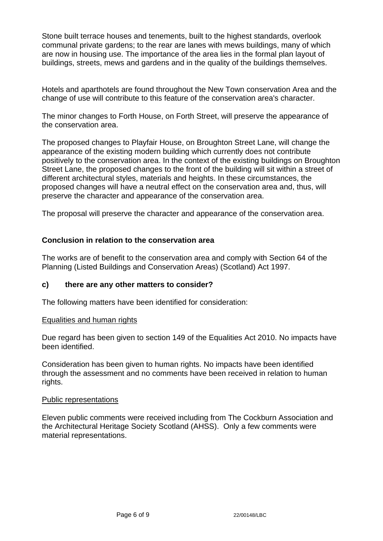Stone built terrace houses and tenements, built to the highest standards, overlook communal private gardens; to the rear are lanes with mews buildings, many of which are now in housing use. The importance of the area lies in the formal plan layout of buildings, streets, mews and gardens and in the quality of the buildings themselves.

Hotels and aparthotels are found throughout the New Town conservation Area and the change of use will contribute to this feature of the conservation area's character.

The minor changes to Forth House, on Forth Street, will preserve the appearance of the conservation area.

The proposed changes to Playfair House, on Broughton Street Lane, will change the appearance of the existing modern building which currently does not contribute positively to the conservation area. In the context of the existing buildings on Broughton Street Lane, the proposed changes to the front of the building will sit within a street of different architectural styles, materials and heights. In these circumstances, the proposed changes will have a neutral effect on the conservation area and, thus, will preserve the character and appearance of the conservation area.

The proposal will preserve the character and appearance of the conservation area.

# **Conclusion in relation to the conservation area**

The works are of benefit to the conservation area and comply with Section 64 of the Planning (Listed Buildings and Conservation Areas) (Scotland) Act 1997.

# **c) there are any other matters to consider?**

The following matters have been identified for consideration:

#### Equalities and human rights

Due regard has been given to section 149 of the Equalities Act 2010. No impacts have been identified.

Consideration has been given to human rights. No impacts have been identified through the assessment and no comments have been received in relation to human rights.

#### Public representations

Eleven public comments were received including from The Cockburn Association and the Architectural Heritage Society Scotland (AHSS). Only a few comments were material representations.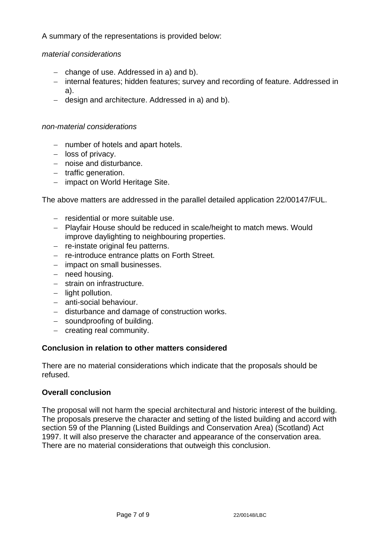A summary of the representations is provided below:

# *material considerations*

- − change of use. Addressed in a) and b).
- − internal features; hidden features; survey and recording of feature. Addressed in a).
- − design and architecture. Addressed in a) and b).

#### *non-material considerations*

- − number of hotels and apart hotels.
- − loss of privacy.
- − noise and disturbance.
- − traffic generation.
- − impact on World Heritage Site.

The above matters are addressed in the parallel detailed application 22/00147/FUL.

- − residential or more suitable use.
- − Playfair House should be reduced in scale/height to match mews. Would improve daylighting to neighbouring properties.
- − re-instate original feu patterns.
- − re-introduce entrance platts on Forth Street.
- − impact on small businesses.
- − need housing.
- − strain on infrastructure.
- − light pollution.
- − anti-social behaviour.
- − disturbance and damage of construction works.
- − soundproofing of building.
- − creating real community.

# **Conclusion in relation to other matters considered**

There are no material considerations which indicate that the proposals should be refused.

# **Overall conclusion**

The proposal will not harm the special architectural and historic interest of the building. The proposals preserve the character and setting of the listed building and accord with section 59 of the Planning (Listed Buildings and Conservation Area) (Scotland) Act 1997. It will also preserve the character and appearance of the conservation area. There are no material considerations that outweigh this conclusion.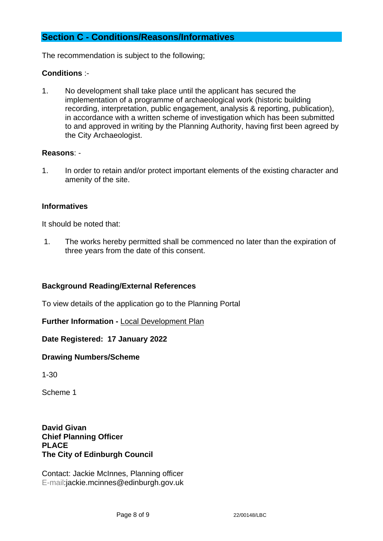# **Section C - Conditions/Reasons/Informatives**

The recommendation is subject to the following;

# **Conditions** :-

1. No development shall take place until the applicant has secured the implementation of a programme of archaeological work (historic building recording, interpretation, public engagement, analysis & reporting, publication), in accordance with a written scheme of investigation which has been submitted to and approved in writing by the Planning Authority, having first been agreed by the City Archaeologist.

#### **Reasons**: -

1. In order to retain and/or protect important elements of the existing character and amenity of the site.

# **Informatives**

It should be noted that:

1. The works hereby permitted shall be commenced no later than the expiration of three years from the date of this consent.

# **Background Reading/External References**

To view details of the application go to the Planning Portal

**Further Information -** [Local Development Plan](https://www.edinburgh.gov.uk/local-development-plan-guidance-1/edinburgh-local-development-plan/1)

**Date Registered: 17 January 2022**

**Drawing Numbers/Scheme**

1-30

Scheme 1

**David Givan Chief Planning Officer PLACE The City of Edinburgh Council**

Contact: Jackie McInnes, Planning officer E-mail:jackie.mcinnes@edinburgh.gov.uk